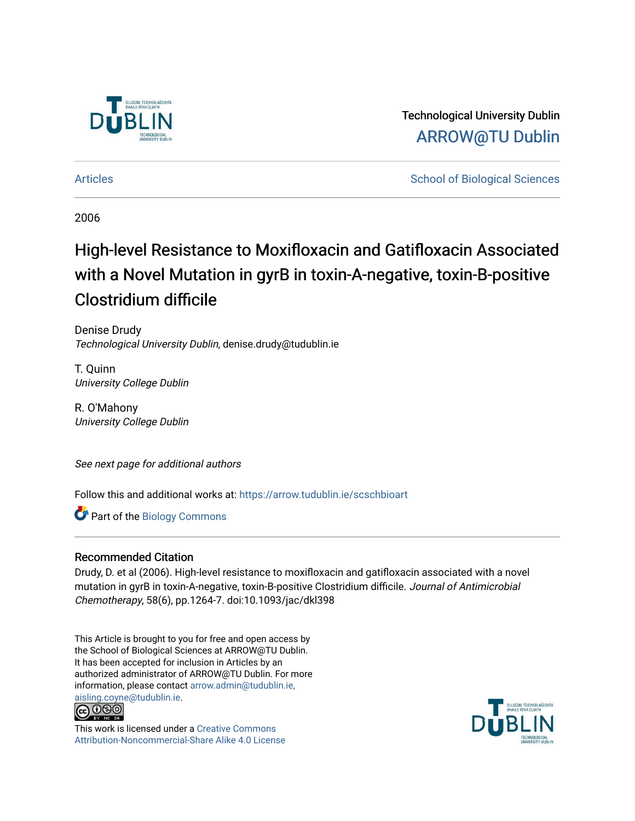

Technological University Dublin [ARROW@TU Dublin](https://arrow.tudublin.ie/) 

[Articles](https://arrow.tudublin.ie/scschbioart) **School of Biological Sciences** School of Biological Sciences

2006

# High-level Resistance to Moxifloxacin and Gatifloxacin Associated with a Novel Mutation in gyrB in toxin-A-negative, toxin-B-positive Clostridium difficile

Denise Drudy Technological University Dublin, denise.drudy@tudublin.ie

T. Quinn University College Dublin

R. O'Mahony University College Dublin

See next page for additional authors

Follow this and additional works at: [https://arrow.tudublin.ie/scschbioart](https://arrow.tudublin.ie/scschbioart?utm_source=arrow.tudublin.ie%2Fscschbioart%2F124&utm_medium=PDF&utm_campaign=PDFCoverPages)

Part of the [Biology Commons](http://network.bepress.com/hgg/discipline/41?utm_source=arrow.tudublin.ie%2Fscschbioart%2F124&utm_medium=PDF&utm_campaign=PDFCoverPages) 

## Recommended Citation

Drudy, D. et al (2006). High-level resistance to moxifloxacin and gatifloxacin associated with a novel mutation in gyrB in toxin-A-negative, toxin-B-positive Clostridium difficile. Journal of Antimicrobial Chemotherapy, 58(6), pp.1264-7. doi:10.1093/jac/dkl398

This Article is brought to you for free and open access by the School of Biological Sciences at ARROW@TU Dublin. It has been accepted for inclusion in Articles by an authorized administrator of ARROW@TU Dublin. For more information, please contact [arrow.admin@tudublin.ie,](mailto:arrow.admin@tudublin.ie,%20aisling.coyne@tudublin.ie) 



This work is licensed under a [Creative Commons](http://creativecommons.org/licenses/by-nc-sa/4.0/) [Attribution-Noncommercial-Share Alike 4.0 License](http://creativecommons.org/licenses/by-nc-sa/4.0/)

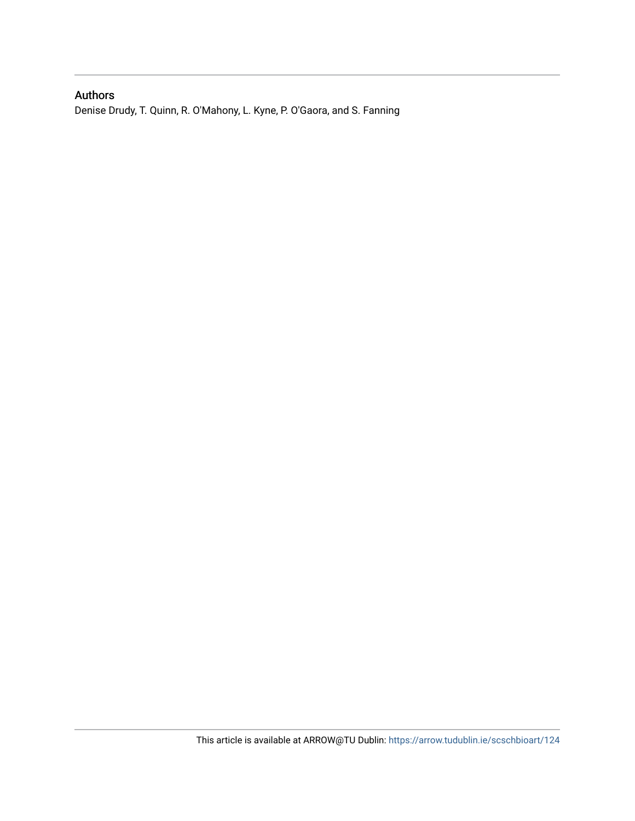# Authors

Denise Drudy, T. Quinn, R. O'Mahony, L. Kyne, P. O'Gaora, and S. Fanning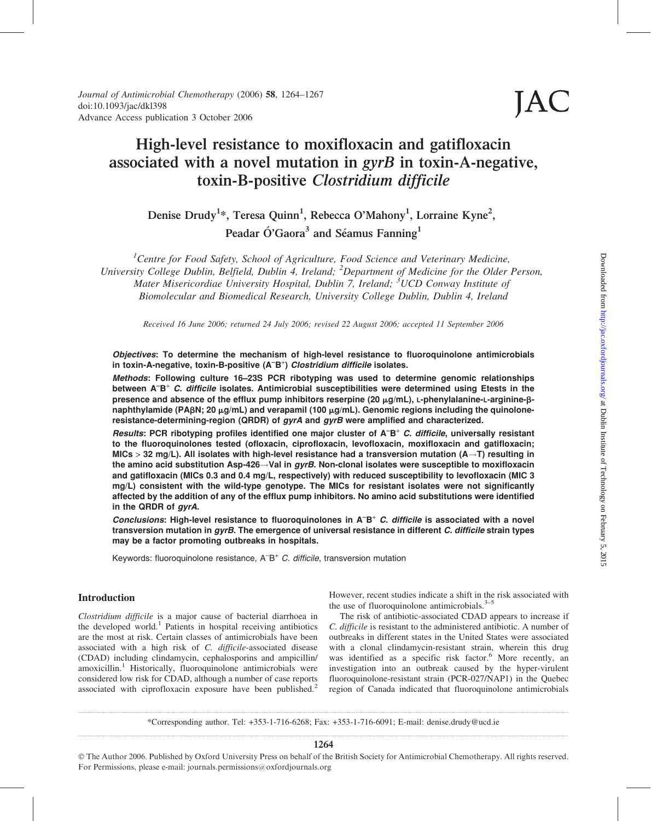# High-level resistance to moxifloxacin and gatifloxacin associated with a novel mutation in  $gyrB$  in toxin-A-negative, toxin-B-positive Clostridium difficile

Denise Drudy<sup>1</sup>\*, Teresa Quinn<sup>1</sup>, Rebecca O'Mahony<sup>1</sup>, Lorraine Kyne<sup>2</sup>, Peadar Ó' Gaora<sup>3</sup> and Séamus Fanning<sup>1</sup>

<sup>1</sup>Centre for Food Safety, School of Agriculture, Food Science and Veterinary Medicine, University College Dublin, Belfield, Dublin 4, Ireland; <sup>2</sup>Department of Medicine for the Older Person, Mater Misericordiae University Hospital, Dublin 7, Ireland;  $\frac{3}{3}$ UCD Conway Institute of Biomolecular and Biomedical Research, University College Dublin, Dublin 4, Ireland

Received 16 June 2006; returned 24 July 2006; revised 22 August 2006; accepted 11 September 2006

Objectives: To determine the mechanism of high-level resistance to fluoroquinolone antimicrobials in toxin-A-negative, toxin-B-positive (A<sup>-B+</sup>) Clostridium difficile isolates.

Methods: Following culture 16–23S PCR ribotyping was used to determine genomic relationships between A<sup>-B+</sup> C. difficile isolates. Antimicrobial susceptibilities were determined using Etests in the presence and absence of the efflux pump inhibitors reserpine (20  $\mu$ g/mL), L-phenylalanine-L-arginine- $\beta$ naphthylamide (PABN; 20  $\mu$ g/mL) and verapamil (100  $\mu$ g/mL). Genomic regions including the quinoloneresistance-determining-region (QRDR) of gyrA and gyrB were amplified and characterized.

Results: PCR ribotyping profiles identified one major cluster of  $A^{-}B^{+}$  C. difficile, universally resistant to the fluoroquinolones tested (ofloxacin, ciprofloxacin, levofloxacin, moxifloxacin and gatifloxacin; MICs > 32 mg/L). All isolates with high-level resistance had a transversion mutation ( $A \rightarrow T$ ) resulting in the amino acid substitution Asp-426 $\rightarrow$ Val in gyrB. Non-clonal isolates were susceptible to moxifloxacin and gatifloxacin (MICs 0.3 and 0.4 mg/L, respectively) with reduced susceptibility to levofloxacin (MIC 3 mg/L) consistent with the wild-type genotype. The MICs for resistant isolates were not significantly affected by the addition of any of the efflux pump inhibitors. No amino acid substitutions were identified in the QRDR of gyrA.

Conclusions: High-level resistance to fluoroquinolones in  $A^{-}B^{+}$  C. difficile is associated with a novel transversion mutation in gyrB. The emergence of universal resistance in different C. difficile strain types may be a factor promoting outbreaks in hospitals.

Keywords: fluoroquinolone resistance, A<sup>-B+</sup> C. difficile, transversion mutation

### Introduction

Clostridium difficile is a major cause of bacterial diarrhoea in the developed world.<sup>1</sup> Patients in hospital receiving antibiotics are the most at risk. Certain classes of antimicrobials have been associated with a high risk of C. difficile-associated disease (CDAD) including clindamycin, cephalosporins and ampicillin/ amoxicillin.<sup>1</sup> Historically, fluoroquinolone antimicrobials were considered low risk for CDAD, although a number of case reports associated with ciprofloxacin exposure have been published.<sup>2</sup>

However, recent studies indicate a shift in the risk associated with the use of fluoroquinolone antimicrobials. $3-5$ 

The risk of antibiotic-associated CDAD appears to increase if C. difficile is resistant to the administered antibiotic. A number of outbreaks in different states in the United States were associated with a clonal clindamycin-resistant strain, wherein this drug was identified as a specific risk factor.<sup>6</sup> More recently, an investigation into an outbreak caused by the hyper-virulent fluoroquinolone-resistant strain (PCR-027/NAP1) in the Quebec region of Canada indicated that fluoroquinolone antimicrobials

............................................................................................................................................................................................................................................................................................................................................................................................................................. \*Corresponding author. Tel: +353-1-716-6268; Fax: +353-1-716-6091; E-mail: denise.drudy@ucd.ie

JAC

............................................................................................................................................................................................................................................................................................................................................................................................................................. 1264

 The Author 2006. Published by Oxford University Press on behalf of the British Society for Antimicrobial Chemotherapy. All rights reserved. For Permissions, please e-mail: journals.permissions@oxfordjournals.org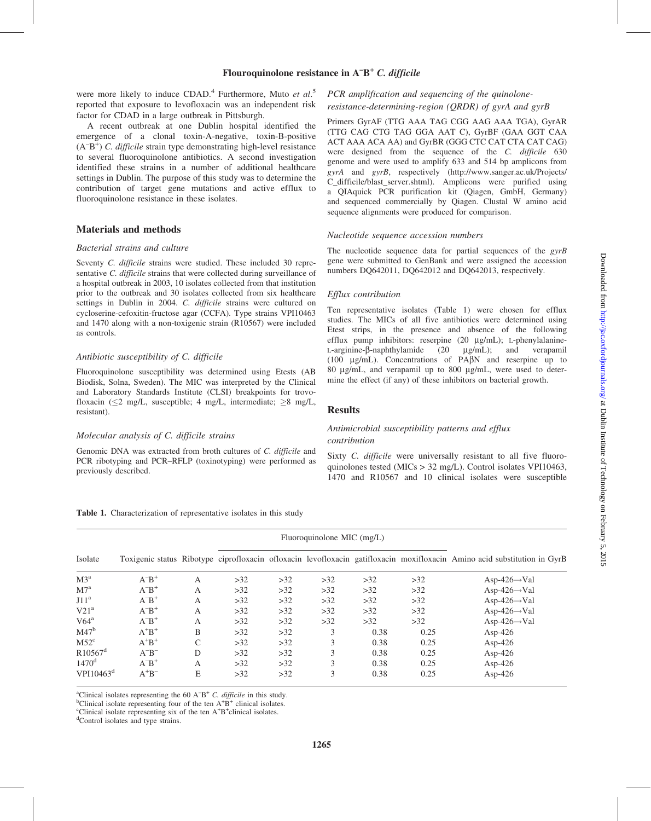were more likely to induce CDAD.<sup>4</sup> Furthermore, Muto et al.<sup>5</sup> reported that exposure to levofloxacin was an independent risk factor for CDAD in a large outbreak in Pittsburgh.

A recent outbreak at one Dublin hospital identified the emergence of a clonal toxin-A-negative, toxin-B-positive  $(A^{-}B^{+})$  C. difficile strain type demonstrating high-level resistance to several fluoroquinolone antibiotics. A second investigation identified these strains in a number of additional healthcare settings in Dublin. The purpose of this study was to determine the contribution of target gene mutations and active efflux to fluoroquinolone resistance in these isolates.

### Materials and methods

#### Bacterial strains and culture

Seventy C. difficile strains were studied. These included 30 representative C. difficile strains that were collected during surveillance of a hospital outbreak in 2003, 10 isolates collected from that institution prior to the outbreak and 30 isolates collected from six healthcare settings in Dublin in 2004. C. difficile strains were cultured on cycloserine-cefoxitin-fructose agar (CCFA). Type strains VPI10463 and 1470 along with a non-toxigenic strain (R10567) were included as controls.

#### Antibiotic susceptibility of C. difficile

Fluoroquinolone susceptibility was determined using Etests (AB Biodisk, Solna, Sweden). The MIC was interpreted by the Clinical and Laboratory Standards Institute (CLSI) breakpoints for trovofloxacin ( $\leq$ 2 mg/L, susceptible; 4 mg/L, intermediate;  $\geq$ 8 mg/L, resistant).

#### Molecular analysis of C. difficile strains

Genomic DNA was extracted from broth cultures of C. difficile and PCR ribotyping and PCR–RFLP (toxinotyping) were performed as previously described.

#### PCR amplification and sequencing of the quinoloneresistance-determining-region (QRDR) of gyrA and gyrB

Primers GyrAF (TTG AAA TAG CGG AAG AAA TGA), GyrAR (TTG CAG CTG TAG GGA AAT C), GyrBF (GAA GGT CAA ACT AAA ACA AA) and GyrBR (GGG CTC CAT CTA CAT CAG) were designed from the sequence of the C. difficile 630 genome and were used to amplify 633 and 514 bp amplicons from gyrA and gyrB, respectively (<http://www.sanger.ac.uk/Projects/> C\_difficile/blast\_server.shtml). Amplicons were purified using a QIAquick PCR purification kit (Qiagen, GmbH, Germany) and sequenced commercially by Qiagen. Clustal W amino acid sequence alignments were produced for comparison.

#### Nucleotide sequence accession numbers

The nucleotide sequence data for partial sequences of the  $gyrB$ gene were submitted to GenBank and were assigned the accession numbers DQ642011, DQ642012 and DQ642013, respectively.

#### Efflux contribution

Ten representative isolates (Table 1) were chosen for efflux studies. The MICs of all five antibiotics were determined using Etest strips, in the presence and absence of the following efflux pump inhibitors: reserpine (20 µg/mL); L-phenylalanine-L-arginine-b-naphthylamide (20 mg/mL); and verapamil (100 mg/mL). Concentrations of PAbN and reserpine up to 80 µg/mL, and verapamil up to 800 µg/mL, were used to determine the effect (if any) of these inhibitors on bacterial growth.

#### **Results**

#### Antimicrobial susceptibility patterns and efflux contribution

Sixty C. difficile were universally resistant to all five fluoroquinolones tested (MICs > 32 mg/L). Control isolates VPI10463, 1470 and R10567 and 10 clinical isolates were susceptible

Table 1. Characterization of representative isolates in this study

|                     | Fluoroquinolone MIC $(mg/L)$ |              |       |     |     |       |       |                                                                                                                          |
|---------------------|------------------------------|--------------|-------|-----|-----|-------|-------|--------------------------------------------------------------------------------------------------------------------------|
| Isolate             |                              |              |       |     |     |       |       | Toxigenic status Ribotype ciprofloxacin ofloxacin levofloxacin gatifloxacin moxifloxacin Amino acid substitution in GyrB |
| $M3^a$              | $A^{-}B^{+}$                 | A            | >32   | >32 | >32 | >32   | >32   | Asp-426 $\rightarrow$ Val                                                                                                |
| $M7^a$              | $A^{-}B^{+}$                 | $\mathbf{A}$ | >32   | >32 | >32 | >32   | $>32$ | Asp-426 $\rightarrow$ Val                                                                                                |
| J11 <sup>a</sup>    | $A^{-}B^{+}$                 | A            | >32   | >32 | >32 | >32   | $>32$ | Asp-426 $\rightarrow$ Val                                                                                                |
| V21 <sup>a</sup>    | $A^{-}B^{+}$                 | A            | $>32$ | >32 | >32 | >32   | >32   | Asp-426 $\rightarrow$ Val                                                                                                |
| $V64^a$             | $A^{-}B^{+}$                 | A            | >32   | >32 | >32 | $>32$ | >32   | Asp-426 $\rightarrow$ Val                                                                                                |
| M47 <sup>b</sup>    | $A^+B^+$                     | B            | $>32$ | >32 | 3   | 0.38  | 0.25  | Asp- $426$                                                                                                               |
| M52 <sup>c</sup>    | $A^+B^+$                     | C            | $>32$ | >32 | 3   | 0.38  | 0.25  | Asp-426                                                                                                                  |
| $R10567^d$          | $A^{-}B^{-}$                 | D            | $>32$ | >32 | 3   | 0.38  | 0.25  | Asp-426                                                                                                                  |
| $1470^{\mathrm{d}}$ | $A^{-}B^{+}$                 | A            | $>32$ | >32 | 3   | 0.38  | 0.25  | Asp- $426$                                                                                                               |
| VPI10463 $d$        | $A^{+}B^{-}$                 | E            | >32   | >32 | 3   | 0.38  | 0.25  | Asp- $426$                                                                                                               |

<sup>a</sup>Clinical isolates representing the 60 A<sup>-B+</sup> C. difficile in this study.

<sup>b</sup>Clinical isolate representing four of the ten  $A^{+}B^{+}$  clinical isolates.

<sup>c</sup>Clinical isolate representing six of the ten  $A^{+}B^{+}$ clinical isolates.

<sup>d</sup>Control isolates and type strains.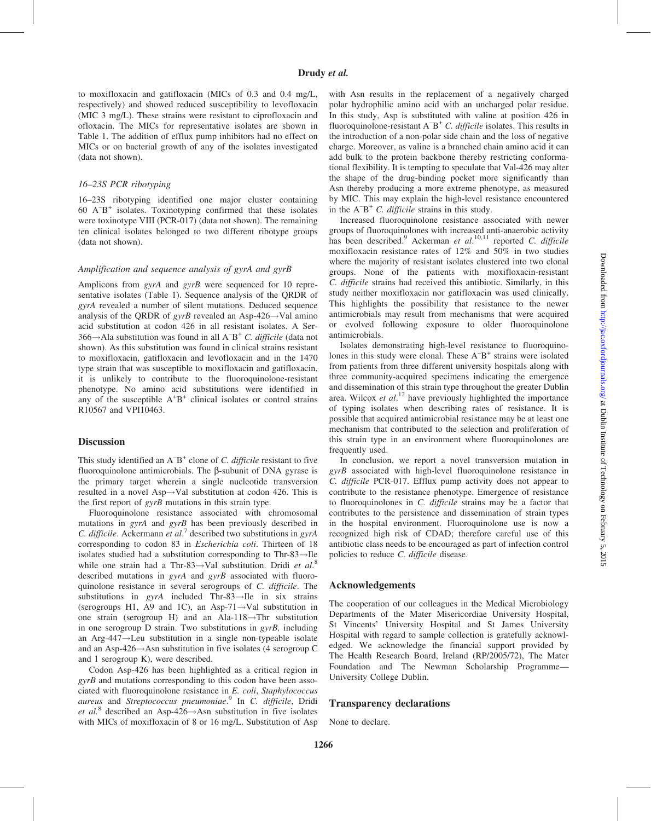to moxifloxacin and gatifloxacin (MICs of 0.3 and 0.4 mg/L, respectively) and showed reduced susceptibility to levofloxacin (MIC 3 mg/L). These strains were resistant to ciprofloxacin and ofloxacin. The MICs for representative isolates are shown in Table 1. The addition of efflux pump inhibitors had no effect on MICs or on bacterial growth of any of the isolates investigated (data not shown).

#### 16–23S PCR ribotyping

16–23S ribotyping identified one major cluster containing 60 A– B<sup>+</sup> isolates. Toxinotyping confirmed that these isolates were toxinotype VIII (PCR-017) (data not shown). The remaining ten clinical isolates belonged to two different ribotype groups (data not shown).

#### Amplification and sequence analysis of gyrA and gyrB

Amplicons from *gyrA* and *gyrB* were sequenced for 10 representative isolates (Table 1). Sequence analysis of the QRDR of gyrA revealed a number of silent mutations. Deduced sequence analysis of the QRDR of gyrB revealed an Asp-426 $\rightarrow$ Val amino acid substitution at codon 426 in all resistant isolates. A Ser-366 $\rightarrow$ Ala substitution was found in all A<sup>-</sup>B<sup>+</sup> C. difficile (data not shown). As this substitution was found in clinical strains resistant to moxifloxacin, gatifloxacin and levofloxacin and in the 1470 type strain that was susceptible to moxifloxacin and gatifloxacin, it is unlikely to contribute to the fluoroquinolone-resistant phenotype. No amino acid substitutions were identified in any of the susceptible  $A^{+}B^{+}$  clinical isolates or control strains R10567 and VPI10463.

#### **Discussion**

This study identified an  $A^{-}B^{+}$  clone of C. difficile resistant to five fluoroquinolone antimicrobials. The  $\beta$ -subunit of DNA gyrase is the primary target wherein a single nucleotide transversion resulted in a novel Asp $\rightarrow$ Val substitution at codon 426. This is the first report of gyrB mutations in this strain type.

Fluoroquinolone resistance associated with chromosomal mutations in gyrA and gyrB has been previously described in C. difficile. Ackermann et al.<sup>7</sup> described two substitutions in gyrA corresponding to codon 83 in Escherichia coli. Thirteen of 18 isolates studied had a substitution corresponding to Thr-83 $\rightarrow$ Ile while one strain had a Thr-83 $\rightarrow$ Val substitution. Dridi et al.<sup>8</sup> described mutations in gyrA and gyrB associated with fluoroquinolone resistance in several serogroups of C. difficile. The substitutions in gyrA included Thr-83 $\rightarrow$ Ile in six strains (serogroups H1, A9 and 1C), an Asp-71 $\rightarrow$ Val substitution in one strain (serogroup H) and an Ala-118 $\rightarrow$ Thr substitution in one serogroup D strain. Two substitutions in gyrB, including an Arg-447 $\rightarrow$ Leu substitution in a single non-typeable isolate and an Asp-426 $\rightarrow$ Asn substitution in five isolates (4 serogroup C and 1 serogroup K), were described.

Codon Asp-426 has been highlighted as a critical region in gyrB and mutations corresponding to this codon have been associated with fluoroquinolone resistance in E. coli, Staphylococcus aureus and Streptococcus pneumoniae.<sup>9</sup> In C. difficile, Dridi et al.<sup>8</sup> described an Asp-426 $\rightarrow$ Asn substitution in five isolates with MICs of moxifloxacin of 8 or 16 mg/L. Substitution of Asp with Asn results in the replacement of a negatively charged polar hydrophilic amino acid with an uncharged polar residue. In this study, Asp is substituted with valine at position 426 in fluoroquinolone-resistant  $A^{-}B^{+}$  C. difficile isolates. This results in the introduction of a non-polar side chain and the loss of negative charge. Moreover, as valine is a branched chain amino acid it can add bulk to the protein backbone thereby restricting conformational flexibility. It is tempting to speculate that Val-426 may alter the shape of the drug-binding pocket more significantly than Asn thereby producing a more extreme phenotype, as measured by MIC. This may explain the high-level resistance encountered in the  $A^{-}B^{+}$  C. difficile strains in this study.

Increased fluoroquinolone resistance associated with newer groups of fluoroquinolones with increased anti-anaerobic activity has been described.<sup>9</sup> Ackerman et al.<sup>10,11</sup> reported C. difficile moxifloxacin resistance rates of 12% and 50% in two studies where the majority of resistant isolates clustered into two clonal groups. None of the patients with moxifloxacin-resistant C. difficile strains had received this antibiotic. Similarly, in this study neither moxifloxacin nor gatifloxacin was used clinically. This highlights the possibility that resistance to the newer antimicrobials may result from mechanisms that were acquired or evolved following exposure to older fluoroquinolone antimicrobials.

Isolates demonstrating high-level resistance to fluoroquinolones in this study were clonal. These A<sup>-B+</sup> strains were isolated from patients from three different university hospitals along with three community-acquired specimens indicating the emergence and dissemination of this strain type throughout the greater Dublin area. Wilcox et al.<sup>12</sup> have previously highlighted the importance of typing isolates when describing rates of resistance. It is possible that acquired antimicrobial resistance may be at least one mechanism that contributed to the selection and proliferation of this strain type in an environment where fluoroquinolones are frequently used.

In conclusion, we report a novel transversion mutation in gyrB associated with high-level fluoroquinolone resistance in C. difficile PCR-017. Efflux pump activity does not appear to contribute to the resistance phenotype. Emergence of resistance to fluoroquinolones in C. difficile strains may be a factor that contributes to the persistence and dissemination of strain types in the hospital environment. Fluoroquinolone use is now a recognized high risk of CDAD; therefore careful use of this antibiotic class needs to be encouraged as part of infection control policies to reduce C. difficile disease.

#### Acknowledgements

The cooperation of our colleagues in the Medical Microbiology Departments of the Mater Misericordiae University Hospital, St Vincents' University Hospital and St James University Hospital with regard to sample collection is gratefully acknowledged. We acknowledge the financial support provided by The Health Research Board, Ireland (RP/2005/72), The Mater Foundation and The Newman Scholarship Programme— University College Dublin.

#### Transparency declarations

None to declare.